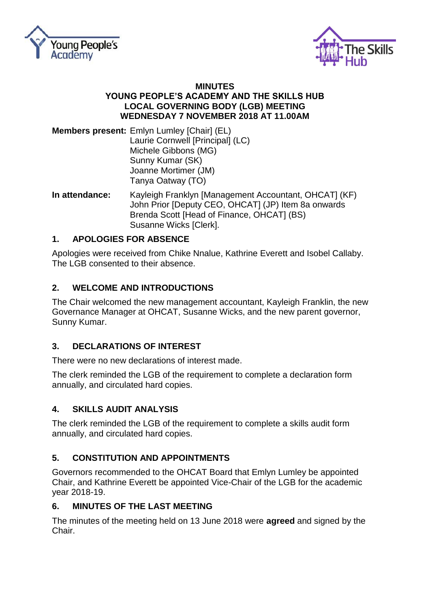



#### **MINUTES YOUNG PEOPLE'S ACADEMY AND THE SKILLS HUB LOCAL GOVERNING BODY (LGB) MEETING WEDNESDAY 7 NOVEMBER 2018 AT 11.00AM**

**Members present:** Emlyn Lumley [Chair] (EL) Laurie Cornwell [Principal] (LC) Michele Gibbons (MG) Sunny Kumar (SK) Joanne Mortimer (JM) Tanya Oatway (TO)

**In attendance:** Kayleigh Franklyn [Management Accountant, OHCAT] (KF) John Prior [Deputy CEO, OHCAT] (JP) Item 8a onwards Brenda Scott [Head of Finance, OHCAT] (BS) Susanne Wicks [Clerk].

## **1. APOLOGIES FOR ABSENCE**

Apologies were received from Chike Nnalue, Kathrine Everett and Isobel Callaby. The LGB consented to their absence.

## **2. WELCOME AND INTRODUCTIONS**

The Chair welcomed the new management accountant, Kayleigh Franklin, the new Governance Manager at OHCAT, Susanne Wicks, and the new parent governor, Sunny Kumar.

## **3. DECLARATIONS OF INTEREST**

There were no new declarations of interest made.

The clerk reminded the LGB of the requirement to complete a declaration form annually, and circulated hard copies.

# **4. SKILLS AUDIT ANALYSIS**

The clerk reminded the LGB of the requirement to complete a skills audit form annually, and circulated hard copies.

# **5. CONSTITUTION AND APPOINTMENTS**

Governors recommended to the OHCAT Board that Emlyn Lumley be appointed Chair, and Kathrine Everett be appointed Vice-Chair of the LGB for the academic year 2018-19.

## **6. MINUTES OF THE LAST MEETING**

The minutes of the meeting held on 13 June 2018 were **agreed** and signed by the Chair.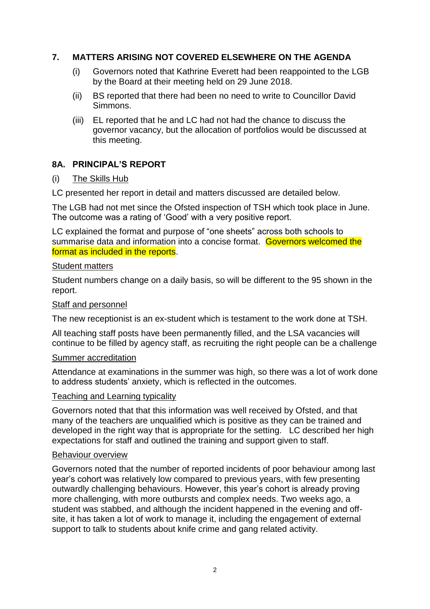## **7. MATTERS ARISING NOT COVERED ELSEWHERE ON THE AGENDA**

- (i) Governors noted that Kathrine Everett had been reappointed to the LGB by the Board at their meeting held on 29 June 2018.
- (ii) BS reported that there had been no need to write to Councillor David Simmons.
- (iii) EL reported that he and LC had not had the chance to discuss the governor vacancy, but the allocation of portfolios would be discussed at this meeting.

#### **8A. PRINCIPAL'S REPORT**

#### (i) The Skills Hub

LC presented her report in detail and matters discussed are detailed below.

The LGB had not met since the Ofsted inspection of TSH which took place in June. The outcome was a rating of 'Good' with a very positive report.

LC explained the format and purpose of "one sheets" across both schools to summarise data and information into a concise format. Governors welcomed the format as included in the reports.

#### Student matters

Student numbers change on a daily basis, so will be different to the 95 shown in the report.

#### Staff and personnel

The new receptionist is an ex-student which is testament to the work done at TSH.

All teaching staff posts have been permanently filled, and the LSA vacancies will continue to be filled by agency staff, as recruiting the right people can be a challenge

#### Summer accreditation

Attendance at examinations in the summer was high, so there was a lot of work done to address students' anxiety, which is reflected in the outcomes.

#### Teaching and Learning typicality

Governors noted that that this information was well received by Ofsted, and that many of the teachers are unqualified which is positive as they can be trained and developed in the right way that is appropriate for the setting. LC described her high expectations for staff and outlined the training and support given to staff.

#### Behaviour overview

Governors noted that the number of reported incidents of poor behaviour among last year's cohort was relatively low compared to previous years, with few presenting outwardly challenging behaviours. However, this year's cohort is already proving more challenging, with more outbursts and complex needs. Two weeks ago, a student was stabbed, and although the incident happened in the evening and offsite, it has taken a lot of work to manage it, including the engagement of external support to talk to students about knife crime and gang related activity.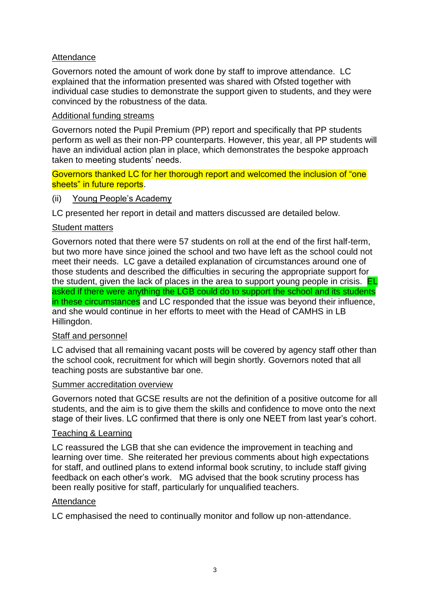## Attendance

Governors noted the amount of work done by staff to improve attendance. LC explained that the information presented was shared with Ofsted together with individual case studies to demonstrate the support given to students, and they were convinced by the robustness of the data.

#### Additional funding streams

Governors noted the Pupil Premium (PP) report and specifically that PP students perform as well as their non-PP counterparts. However, this year, all PP students will have an individual action plan in place, which demonstrates the bespoke approach taken to meeting students' needs.

Governors thanked LC for her thorough report and welcomed the inclusion of "one sheets" in future reports.

#### (ii) Young People's Academy

LC presented her report in detail and matters discussed are detailed below.

#### Student matters

Governors noted that there were 57 students on roll at the end of the first half-term, but two more have since joined the school and two have left as the school could not meet their needs. LC gave a detailed explanation of circumstances around one of those students and described the difficulties in securing the appropriate support for the student, given the lack of places in the area to support young people in crisis.  $E$ asked if there were anything the LGB could do to support the school and its students in these circumstances and LC responded that the issue was beyond their influence, and she would continue in her efforts to meet with the Head of CAMHS in LB Hillingdon.

#### Staff and personnel

LC advised that all remaining vacant posts will be covered by agency staff other than the school cook, recruitment for which will begin shortly. Governors noted that all teaching posts are substantive bar one.

#### Summer accreditation overview

Governors noted that GCSE results are not the definition of a positive outcome for all students, and the aim is to give them the skills and confidence to move onto the next stage of their lives. LC confirmed that there is only one NEET from last year's cohort.

#### Teaching & Learning

LC reassured the LGB that she can evidence the improvement in teaching and learning over time. She reiterated her previous comments about high expectations for staff, and outlined plans to extend informal book scrutiny, to include staff giving feedback on each other's work. MG advised that the book scrutiny process has been really positive for staff, particularly for unqualified teachers.

#### **Attendance**

LC emphasised the need to continually monitor and follow up non-attendance.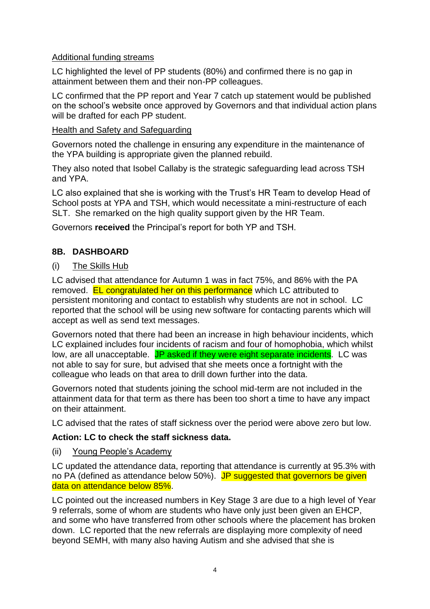## Additional funding streams

LC highlighted the level of PP students (80%) and confirmed there is no gap in attainment between them and their non-PP colleagues.

LC confirmed that the PP report and Year 7 catch up statement would be published on the school's website once approved by Governors and that individual action plans will be drafted for each PP student.

#### Health and Safety and Safeguarding

Governors noted the challenge in ensuring any expenditure in the maintenance of the YPA building is appropriate given the planned rebuild.

They also noted that Isobel Callaby is the strategic safeguarding lead across TSH and YPA.

LC also explained that she is working with the Trust's HR Team to develop Head of School posts at YPA and TSH, which would necessitate a mini-restructure of each SLT. She remarked on the high quality support given by the HR Team.

Governors **received** the Principal's report for both YP and TSH.

## **8B. DASHBOARD**

#### (i) The Skills Hub

LC advised that attendance for Autumn 1 was in fact 75%, and 86% with the PA removed. EL congratulated her on this performance which LC attributed to persistent monitoring and contact to establish why students are not in school. LC reported that the school will be using new software for contacting parents which will accept as well as send text messages.

Governors noted that there had been an increase in high behaviour incidents, which LC explained includes four incidents of racism and four of homophobia, which whilst low, are all unacceptable. JP asked if they were eight separate incidents. LC was not able to say for sure, but advised that she meets once a fortnight with the colleague who leads on that area to drill down further into the data.

Governors noted that students joining the school mid-term are not included in the attainment data for that term as there has been too short a time to have any impact on their attainment.

LC advised that the rates of staff sickness over the period were above zero but low.

## **Action: LC to check the staff sickness data.**

#### (ii) Young People's Academy

LC updated the attendance data, reporting that attendance is currently at 95.3% with no PA (defined as attendance below 50%). JP suggested that governors be given data on attendance below 85%.

LC pointed out the increased numbers in Key Stage 3 are due to a high level of Year 9 referrals, some of whom are students who have only just been given an EHCP, and some who have transferred from other schools where the placement has broken down. LC reported that the new referrals are displaying more complexity of need beyond SEMH, with many also having Autism and she advised that she is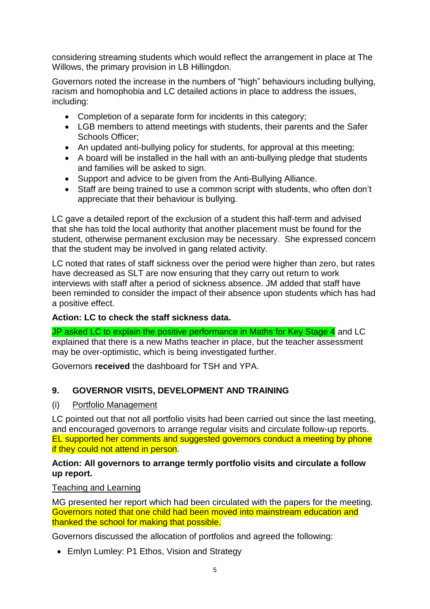considering streaming students which would reflect the arrangement in place at The Willows, the primary provision in LB Hillingdon.

Governors noted the increase in the numbers of "high" behaviours including bullying, racism and homophobia and LC detailed actions in place to address the issues, including:

- Completion of a separate form for incidents in this category;
- LGB members to attend meetings with students, their parents and the Safer Schools Officer;
- An updated anti-bullying policy for students, for approval at this meeting:
- A board will be installed in the hall with an anti-bullying pledge that students and families will be asked to sign.
- Support and advice to be given from the Anti-Bullying Alliance.
- Staff are being trained to use a common script with students, who often don't appreciate that their behaviour is bullying.

LC gave a detailed report of the exclusion of a student this half-term and advised that she has told the local authority that another placement must be found for the student, otherwise permanent exclusion may be necessary. She expressed concern that the student may be involved in gang related activity.

LC noted that rates of staff sickness over the period were higher than zero, but rates have decreased as SLT are now ensuring that they carry out return to work interviews with staff after a period of sickness absence. JM added that staff have been reminded to consider the impact of their absence upon students which has had a positive effect.

## **Action: LC to check the staff sickness data.**

JP asked LC to explain the positive performance in Maths for Key Stage 4 and LC explained that there is a new Maths teacher in place, but the teacher assessment may be over-optimistic, which is being investigated further.

Governors **received** the dashboard for TSH and YPA.

# **9. GOVERNOR VISITS, DEVELOPMENT AND TRAINING**

## (i) Portfolio Management

LC pointed out that not all portfolio visits had been carried out since the last meeting, and encouraged governors to arrange regular visits and circulate follow-up reports. EL supported her comments and suggested governors conduct a meeting by phone if they could not attend in person.

## **Action: All governors to arrange termly portfolio visits and circulate a follow up report.**

## Teaching and Learning

MG presented her report which had been circulated with the papers for the meeting. Governors noted that one child had been moved into mainstream education and thanked the school for making that possible.

Governors discussed the allocation of portfolios and agreed the following:

• Emlyn Lumley: P1 Ethos, Vision and Strategy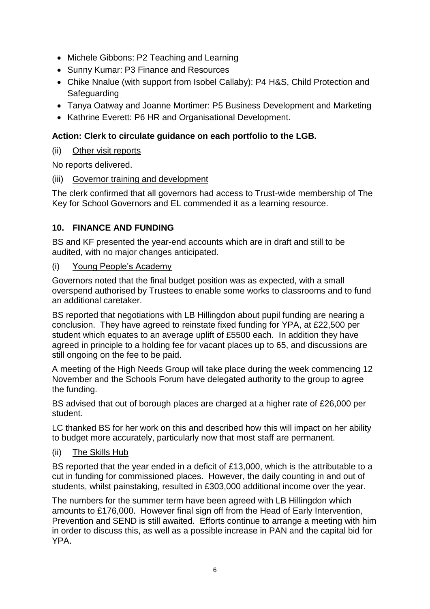- Michele Gibbons: P2 Teaching and Learning
- Sunny Kumar: P3 Finance and Resources
- Chike Nnalue (with support from Isobel Callaby): P4 H&S, Child Protection and Safeguarding
- Tanya Oatway and Joanne Mortimer: P5 Business Development and Marketing
- Kathrine Everett: P6 HR and Organisational Development.

## **Action: Clerk to circulate guidance on each portfolio to the LGB.**

#### (ii) Other visit reports

No reports delivered.

#### (iii) Governor training and development

The clerk confirmed that all governors had access to Trust-wide membership of The Key for School Governors and EL commended it as a learning resource.

## **10. FINANCE AND FUNDING**

BS and KF presented the year-end accounts which are in draft and still to be audited, with no major changes anticipated.

#### (i) Young People's Academy

Governors noted that the final budget position was as expected, with a small overspend authorised by Trustees to enable some works to classrooms and to fund an additional caretaker.

BS reported that negotiations with LB Hillingdon about pupil funding are nearing a conclusion. They have agreed to reinstate fixed funding for YPA, at £22,500 per student which equates to an average uplift of £5500 each. In addition they have agreed in principle to a holding fee for vacant places up to 65, and discussions are still ongoing on the fee to be paid.

A meeting of the High Needs Group will take place during the week commencing 12 November and the Schools Forum have delegated authority to the group to agree the funding.

BS advised that out of borough places are charged at a higher rate of £26,000 per student.

LC thanked BS for her work on this and described how this will impact on her ability to budget more accurately, particularly now that most staff are permanent.

## (ii) The Skills Hub

BS reported that the year ended in a deficit of £13,000, which is the attributable to a cut in funding for commissioned places. However, the daily counting in and out of students, whilst painstaking, resulted in £303,000 additional income over the year.

The numbers for the summer term have been agreed with LB Hillingdon which amounts to £176,000. However final sign off from the Head of Early Intervention, Prevention and SEND is still awaited. Efforts continue to arrange a meeting with him in order to discuss this, as well as a possible increase in PAN and the capital bid for YPA.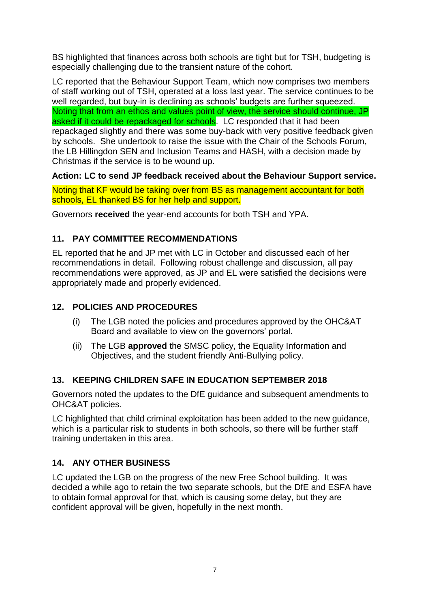BS highlighted that finances across both schools are tight but for TSH, budgeting is especially challenging due to the transient nature of the cohort.

LC reported that the Behaviour Support Team, which now comprises two members of staff working out of TSH, operated at a loss last year. The service continues to be well regarded, but buy-in is declining as schools' budgets are further squeezed. Noting that from an ethos and values point of view, the service should continue, JP asked if it could be repackaged for schools. LC responded that it had been repackaged slightly and there was some buy-back with very positive feedback given by schools. She undertook to raise the issue with the Chair of the Schools Forum, the LB Hillingdon SEN and Inclusion Teams and HASH, with a decision made by Christmas if the service is to be wound up.

## **Action: LC to send JP feedback received about the Behaviour Support service.**

Noting that KF would be taking over from BS as management accountant for both schools, EL thanked BS for her help and support.

Governors **received** the year-end accounts for both TSH and YPA.

# **11. PAY COMMITTEE RECOMMENDATIONS**

EL reported that he and JP met with LC in October and discussed each of her recommendations in detail. Following robust challenge and discussion, all pay recommendations were approved, as JP and EL were satisfied the decisions were appropriately made and properly evidenced.

# **12. POLICIES AND PROCEDURES**

- (i) The LGB noted the policies and procedures approved by the OHC&AT Board and available to view on the governors' portal.
- (ii) The LGB **approved** the SMSC policy, the Equality Information and Objectives, and the student friendly Anti-Bullying policy.

# **13. KEEPING CHILDREN SAFE IN EDUCATION SEPTEMBER 2018**

Governors noted the updates to the DfE guidance and subsequent amendments to OHC&AT policies.

LC highlighted that child criminal exploitation has been added to the new guidance, which is a particular risk to students in both schools, so there will be further staff training undertaken in this area.

# **14. ANY OTHER BUSINESS**

LC updated the LGB on the progress of the new Free School building. It was decided a while ago to retain the two separate schools, but the DfE and ESFA have to obtain formal approval for that, which is causing some delay, but they are confident approval will be given, hopefully in the next month.